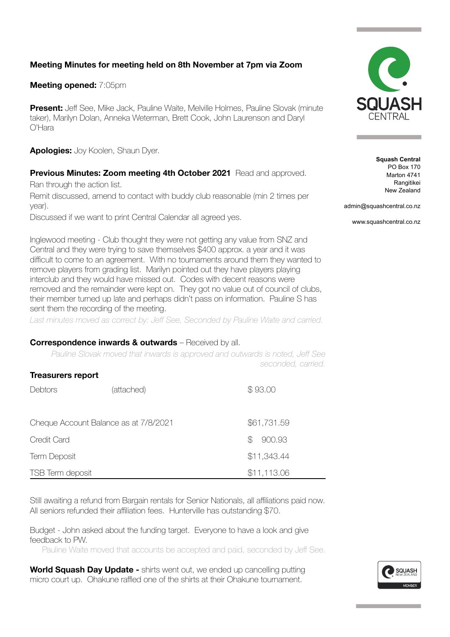# **Meeting Minutes for meeting held on 8th November at 7pm via Zoom**

## **Meeting opened:** 7:05pm

**Present:** Jeff See, Mike Jack, Pauline Waite, Melville Holmes, Pauline Slovak (minute taker), Marilyn Dolan, Anneka Weterman, Brett Cook, John Laurenson and Daryl O'Hara

**Apologies:** Joy Koolen, Shaun Dyer.

### **Previous Minutes: Zoom meeting 4th October 2021** Read and approved.

Ran through the action list.

Remit discussed, amend to contact with buddy club reasonable (min 2 times per year).

Discussed if we want to print Central Calendar all agreed yes.

Inglewood meeting - Club thought they were not getting any value from SNZ and Central and they were trying to save themselves \$400 approx. a year and it was difficult to come to an agreement. With no tournaments around them they wanted to remove players from grading list. Marilyn pointed out they have players playing interclub and they would have missed out. Codes with decent reasons were removed and the remainder were kept on. They got no value out of council of clubs, their member turned up late and perhaps didn't pass on information. Pauline S has sent them the recording of the meeting.

Last minutes moved as correct by: Jeff See, Seconded by Pauline Waite and carried.

#### **Correspondence inwards & outwards** – Received by all.

*Pauline Slovak moved that inwards is approved and outwards is noted, Jeff See seconded, carried.* 

| <b>Treasurers report</b>              |            |              |  |  |
|---------------------------------------|------------|--------------|--|--|
| Debtors                               | (attached) | \$93.00      |  |  |
| Cheque Account Balance as at 7/8/2021 |            | \$61,731.59  |  |  |
| Credit Card                           |            | 900.93<br>\$ |  |  |
| <b>Term Deposit</b>                   |            | \$11,343.44  |  |  |
| TSB Term deposit                      |            | \$11,113.06  |  |  |

Still awaiting a refund from Bargain rentals for Senior Nationals, all affiliations paid now. All seniors refunded their affiliation fees. Hunterville has outstanding \$70.

Budget - John asked about the funding target. Everyone to have a look and give feedback to PW.

Pauline Waite moved that accounts be accepted and paid, seconded by Jeff See.

**World Squash Day Update -** shirts went out, we ended up cancelling putting micro court up. Ohakune raffled one of the shirts at their Ohakune tournament.



**Squash Central** PO Box 170 Marton 4741 Rangitikei New Zealand

admin@squashcentral.co.nz

www.squashcentral.co.nz

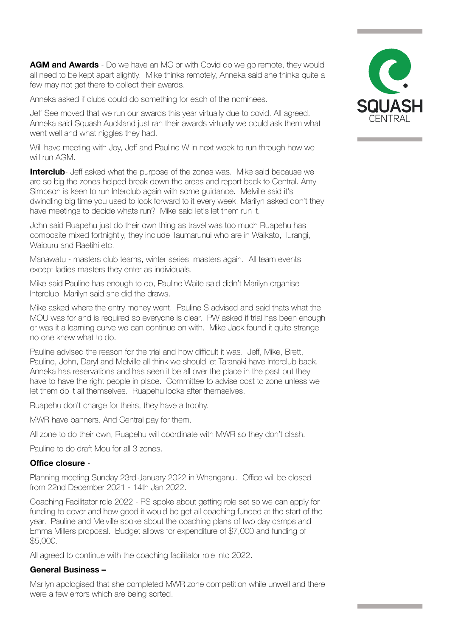**AGM and Awards** - Do we have an MC or with Covid do we go remote, they would all need to be kept apart slightly. Mike thinks remotely, Anneka said she thinks quite a few may not get there to collect their awards.

Anneka asked if clubs could do something for each of the nominees.

Jeff See moved that we run our awards this year virtually due to covid. All agreed. Anneka said Squash Auckland just ran their awards virtually we could ask them what went well and what niggles they had.

Will have meeting with Joy, Jeff and Pauline W in next week to run through how we will run AGM.

**Interclub**- Jeff asked what the purpose of the zones was. Mike said because we are so big the zones helped break down the areas and report back to Central. Amy Simpson is keen to run Interclub again with some guidance. Melville said it's dwindling big time you used to look forward to it every week. Marilyn asked don't they have meetings to decide whats run? Mike said let's let them run it.

John said Ruapehu just do their own thing as travel was too much Ruapehu has composite mixed fortnightly, they include Taumarunui who are in Waikato, Turangi, Waiouru and Raetihi etc.

Manawatu - masters club teams, winter series, masters again. All team events except ladies masters they enter as individuals.

Mike said Pauline has enough to do, Pauline Waite said didn't Marilyn organise Interclub. Marilyn said she did the draws.

Mike asked where the entry money went. Pauline S advised and said thats what the MOU was for and is required so everyone is clear. PW asked if trial has been enough or was it a learning curve we can continue on with. Mike Jack found it quite strange no one knew what to do.

Pauline advised the reason for the trial and how difficult it was. Jeff, Mike, Brett, Pauline, John, Daryl and Melville all think we should let Taranaki have Interclub back. Anneka has reservations and has seen it be all over the place in the past but they have to have the right people in place. Committee to advise cost to zone unless we let them do it all themselves. Ruapehu looks after themselves.

Ruapehu don't charge for theirs, they have a trophy.

MWR have banners. And Central pay for them.

All zone to do their own, Ruapehu will coordinate with MWR so they don't clash.

Pauline to do draft Mou for all 3 zones.

#### **Office closure** -

Planning meeting Sunday 23rd January 2022 in Whanganui. Office will be closed from 22nd December 2021 - 14th Jan 2022.

Coaching Facilitator role 2022 - PS spoke about getting role set so we can apply for funding to cover and how good it would be get all coaching funded at the start of the year. Pauline and Melville spoke about the coaching plans of two day camps and Emma Millers proposal. Budget allows for expenditure of \$7,000 and funding of \$5,000.

All agreed to continue with the coaching facilitator role into 2022.

#### **General Business –**

Marilyn apologised that she completed MWR zone competition while unwell and there were a few errors which are being sorted.